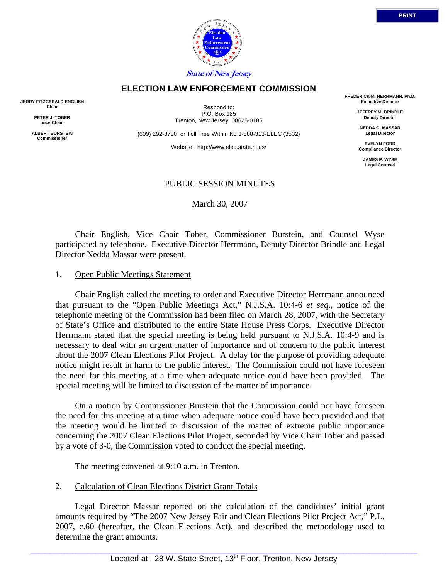

# **ELECTION LAW ENFORCEMENT COMMISSION**

**JERRY FITZGERALD ENGLISH Chair** 

> **PETER J. TOBER Vice Chair**

**ALBERT BURSTEIN Commissioner** 

Respond to: P.O. Box 185 Trenton, New Jersey 08625-0185

(609) 292-8700 or Toll Free Within NJ 1-888-313-ELEC (3532)

Website: http://www.elec.state.nj.us/

**FREDERICK M. HERRMANN, Ph.D. Executive Director** 

> **JEFFREY M. BRINDLE Deputy Director**

**NEDDA G. MASSAR Legal Director** 

**EVELYN FORD Compliance Director** 

> **JAMES P. WYSE Legal Counsel**

# PUBLIC SESSION MINUTES

March 30, 2007

 Chair English, Vice Chair Tober, Commissioner Burstein, and Counsel Wyse participated by telephone. Executive Director Herrmann, Deputy Director Brindle and Legal Director Nedda Massar were present.

### 1. Open Public Meetings Statement

 Chair English called the meeting to order and Executive Director Herrmann announced that pursuant to the "Open Public Meetings Act," N.J.S.A. 10:4-6 *et seq*., notice of the telephonic meeting of the Commission had been filed on March 28, 2007, with the Secretary of State's Office and distributed to the entire State House Press Corps. Executive Director Herrmann stated that the special meeting is being held pursuant to N.J.S.A. 10:4-9 and is necessary to deal with an urgent matter of importance and of concern to the public interest about the 2007 Clean Elections Pilot Project. A delay for the purpose of providing adequate notice might result in harm to the public interest. The Commission could not have foreseen the need for this meeting at a time when adequate notice could have been provided. The special meeting will be limited to discussion of the matter of importance.

 On a motion by Commissioner Burstein that the Commission could not have foreseen the need for this meeting at a time when adequate notice could have been provided and that the meeting would be limited to discussion of the matter of extreme public importance concerning the 2007 Clean Elections Pilot Project, seconded by Vice Chair Tober and passed by a vote of 3-0, the Commission voted to conduct the special meeting.

The meeting convened at 9:10 a.m. in Trenton.

# 2. Calculation of Clean Elections District Grant Totals

 Legal Director Massar reported on the calculation of the candidates' initial grant amounts required by "The 2007 New Jersey Fair and Clean Elections Pilot Project Act," P.L. 2007, c.60 (hereafter, the Clean Elections Act), and described the methodology used to determine the grant amounts.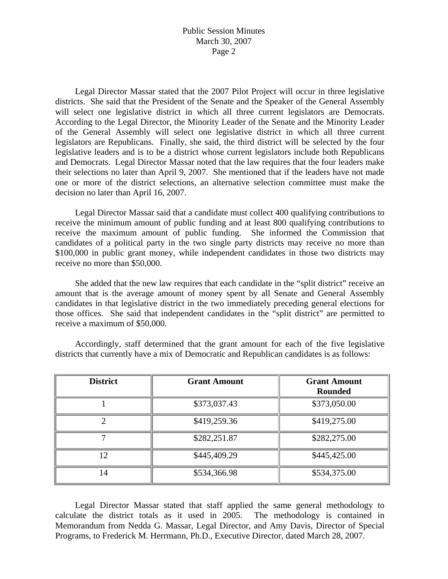# Public Session Minutes March 30, 2007 Page 2

 Legal Director Massar stated that the 2007 Pilot Project will occur in three legislative districts. She said that the President of the Senate and the Speaker of the General Assembly will select one legislative district in which all three current legislators are Democrats. According to the Legal Director, the Minority Leader of the Senate and the Minority Leader of the General Assembly will select one legislative district in which all three current legislators are Republicans. Finally, she said, the third district will be selected by the four legislative leaders and is to be a district whose current legislators include both Republicans and Democrats. Legal Director Massar noted that the law requires that the four leaders make their selections no later than April 9, 2007. She mentioned that if the leaders have not made one or more of the district selections, an alternative selection committee must make the decision no later than April 16, 2007.

 Legal Director Massar said that a candidate must collect 400 qualifying contributions to receive the minimum amount of public funding and at least 800 qualifying contributions to receive the maximum amount of public funding. She informed the Commission that candidates of a political party in the two single party districts may receive no more than \$100,000 in public grant money, while independent candidates in those two districts may receive no more than \$50,000.

 She added that the new law requires that each candidate in the "split district" receive an amount that is the average amount of money spent by all Senate and General Assembly candidates in that legislative district in the two immediately preceding general elections for those offices. She said that independent candidates in the "split district" are permitted to receive a maximum of \$50,000.

| <b>District</b> | <b>Grant Amount</b> | <b>Grant Amount</b><br><b>Rounded</b> |
|-----------------|---------------------|---------------------------------------|
|                 | \$373,037.43        | \$373,050.00                          |
| ◠               | \$419,259.36        | \$419,275.00                          |
|                 | \$282,251.87        | \$282,275.00                          |
| 12              | \$445,409.29        | \$445,425.00                          |
| 14              | \$534,366.98        | \$534,375.00                          |

 Accordingly, staff determined that the grant amount for each of the five legislative districts that currently have a mix of Democratic and Republican candidates is as follows:

 Legal Director Massar stated that staff applied the same general methodology to calculate the district totals as it used in 2005. The methodology is contained in Memorandum from Nedda G. Massar, Legal Director, and Amy Davis, Director of Special Programs, to Frederick M. Herrmann, Ph.D., Executive Director, dated March 28, 2007.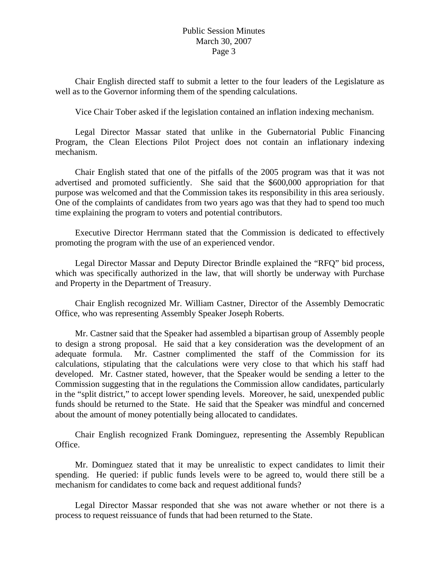# Public Session Minutes March 30, 2007 Page 3

 Chair English directed staff to submit a letter to the four leaders of the Legislature as well as to the Governor informing them of the spending calculations.

Vice Chair Tober asked if the legislation contained an inflation indexing mechanism.

 Legal Director Massar stated that unlike in the Gubernatorial Public Financing Program, the Clean Elections Pilot Project does not contain an inflationary indexing mechanism.

 Chair English stated that one of the pitfalls of the 2005 program was that it was not advertised and promoted sufficiently. She said that the \$600,000 appropriation for that purpose was welcomed and that the Commission takes its responsibility in this area seriously. One of the complaints of candidates from two years ago was that they had to spend too much time explaining the program to voters and potential contributors.

 Executive Director Herrmann stated that the Commission is dedicated to effectively promoting the program with the use of an experienced vendor.

 Legal Director Massar and Deputy Director Brindle explained the "RFQ" bid process, which was specifically authorized in the law, that will shortly be underway with Purchase and Property in the Department of Treasury.

 Chair English recognized Mr. William Castner, Director of the Assembly Democratic Office, who was representing Assembly Speaker Joseph Roberts.

 Mr. Castner said that the Speaker had assembled a bipartisan group of Assembly people to design a strong proposal. He said that a key consideration was the development of an adequate formula. Mr. Castner complimented the staff of the Commission for its calculations, stipulating that the calculations were very close to that which his staff had developed. Mr. Castner stated, however, that the Speaker would be sending a letter to the Commission suggesting that in the regulations the Commission allow candidates, particularly in the "split district," to accept lower spending levels. Moreover, he said, unexpended public funds should be returned to the State. He said that the Speaker was mindful and concerned about the amount of money potentially being allocated to candidates.

 Chair English recognized Frank Dominguez, representing the Assembly Republican Office.

 Mr. Dominguez stated that it may be unrealistic to expect candidates to limit their spending. He queried: if public funds levels were to be agreed to, would there still be a mechanism for candidates to come back and request additional funds?

 Legal Director Massar responded that she was not aware whether or not there is a process to request reissuance of funds that had been returned to the State.